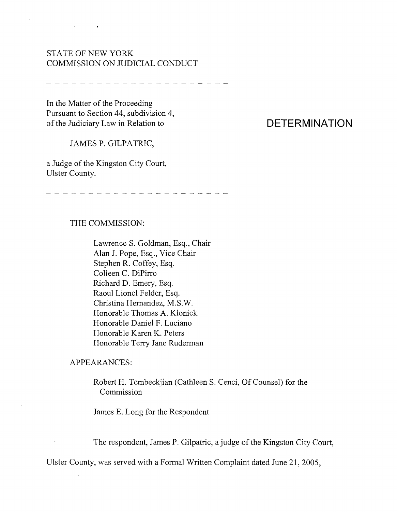## STATE OF NEW YORK COMMISSION ON JUDICIAL CONDUCT

 $\cdot$ 

 $\mathbf{r}$ 

**Contract Contract** 

\_\_\_\_\_\_\_\_\_\_**\_\_\_\_\_\_\_\_\_\_\_**\_

In the Matter of the Proceeding Pursuant to Section 44, subdivision 4, of the Judiciary Law in Relation to

#### JAMES P. GILPATRlC,

a Judge of the Kingston City Court, Ulster County.

\_\_\_\_\_\_\_\_\_\_\_\_\_\_\_\_\_\_\_\_\_\_

### THE COMMISSION:

Lawrence S. Goldman, Esq., Chair Alan J. Pope, Esq., Vice Chair Stephen R. Coffey, Esq. Colleen C. DiPirro Richard D. Emery, Esq. Raoul Lionel Felder, Esq. Christina Hernandez, M.S.W. Honorable Thomas A. Klonick Honorable Daniel F. Luciano Honorable Karen K. Peters Honorable Terry Jane Ruderman

#### APPEARANCES:

 $\bar{t}$ 

Robert H. Tembeckjian (Cathleen S. Cenci, Of Counsel) for the Commission

James E. Long for the Respondent

The respondent, James P. Gilpatric, a judge of the Kingston City Court,

Ulster County, was served with a Formal Written Complaint dated June 21,2005,

# **DETERMINATION**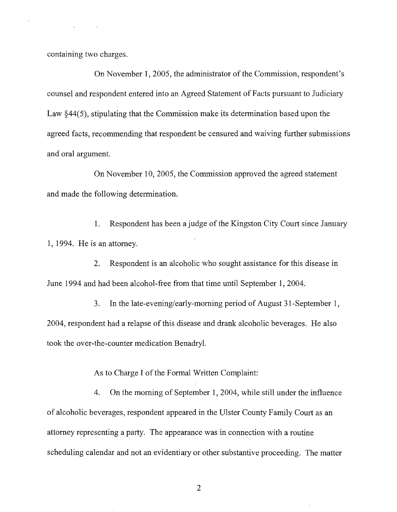containing two charges.

On November 1, 2005, the administrator of the Commission, respondent's counsel and respondent entered into an Agreed Statement of Facts pursuant to Judiciary Law  $\S 44(5)$ , stipulating that the Commission make its determination based upon the agreed facts, recommending that respondent be censured and waiving further submissions and oral argument.

On November 10, 2005, the Commission approved the agreed statement and made the following determination.

1. Respondent has been a judge of the Kingston City Court since January 1, 1994. He is an attorney.

2. Respondent is an alcoholic who sought assistance for this disease in June 1994 and had been alcohol-free from that time until September 1,2004.

3. In the late-evening/early-morning period of August 31-September 1, 2004, respondent had a relapse of this disease and drank alcoholic beverages. He also took the over-the-counter medication Benadryl.

As to Charge I of the Formal Written Complaint:

4. On the morning of September 1, 2004, while still under the influence of alcoholic beverages, respondent appeared in the Ulster County Family Court as an attorney representing a party. The appearance was in connection with a routine scheduling calendar and not an evidentiary or other substantive proceeding. The matter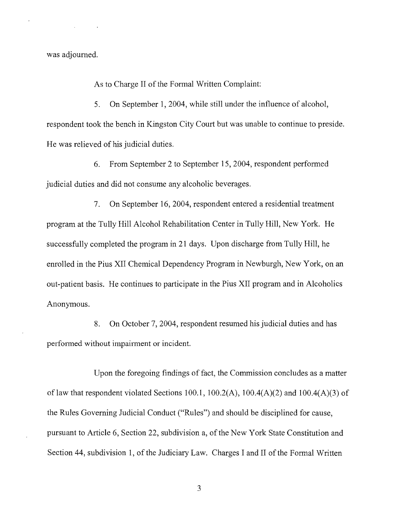was adjourned.

As to Charge II of the Formal Written Complaint:

5. On September 1, 2004, while still under the influence of alcohol, respondent took the bench in Kingston City Court but was unable to continue to preside. He was relieved of his judicial duties.

6. From September 2 to September 15, 2004, respondent perfonned judicial duties and did not consume any alcoholic beverages.

7. On September 16, 2004, respondent entered a residential treatment program at the Tully Hill Alcohol Rehabilitation Center in Tully Hill, New York. He successfully completed the program in 21 days. Upon discharge from Tully Hill, he enrolled in the Pius XII Chemical Dependency Program in Newburgh, New York, on an out-patient basis. He continues to participate in the Pius XII program and in Alcoholics Anonymous.

8. On October 7, 2004, respondent resumed his judicial duties and has performed without impairment or incident.

Upon the foregoing findings of fact, the Commission concludes as a matter of law that respondent violated Sections 100.1, 100.2(A), 100.4(A)(2) and 100.4(A)(3) of the Rules Governing Judicial Conduct ("Rules") and should be disciplined for cause, pursuant to Article 6, Section 22, subdivision a, of the New York State Constitution and Section 44, subdivision 1, of the Judiciary Law. Charges I and II of the Formal Written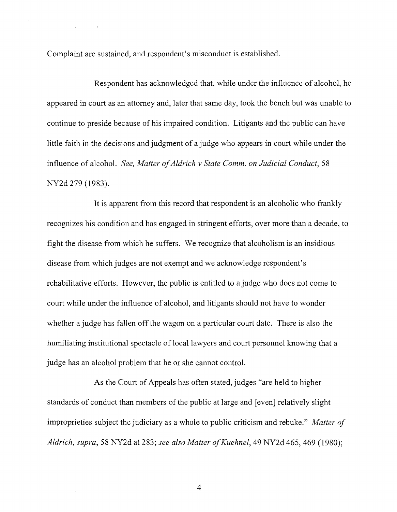Complaint are sustained, and respondent's misconduct is established.

 $\ddot{\phantom{a}}$ 

Respondent has acknowledged that, while under the influence of alcohol, he appeared in court as an attorney and, later that same day, took the bench but was unable to continue to preside because of his impaired condition. Litigants and the public can have little faith in the decisions and judgment of a judge who appears in court while under the influence of alcohol. *See, Matter ofAldrich v State Comm. on Judicial Conduct, 58* NY2d 279 (1983).

It is apparent from this record that respondent is an alcoholic who frankly recognizes his condition and has engaged in stringent efforts, over more than a decade, to fight the disease from which he suffers. We recognize that alcoholism is an insidious disease from which judges are not exempt and we acknowledge respondent's rehabilitative efforts. However, the public is entitled to a judge who does not come to court while under the influence of alcohol, and litigants should not have to wonder whether a judge has fallen off the wagon on a particular court date. There is also the humiliating institutional spectacle of local lawyers and court personnel knowing that a judge has an alcohol problem that he or she cannot control.

As the Court of Appeals has often stated, judges "are held to higher standards of conduct than members of the public at large and [even] relatively slight improprieties subject the judiciary as a whole to public criticism and rebuke." *Matter of Aldrich, supra,* 58 NY2d at 283; *see also Matter ofKuehnel,* 49 NY2d 465, 469 (1980);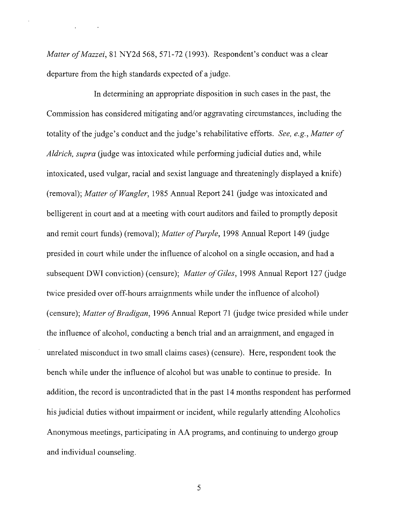*Matter of Mazzei,* 81 NY2d 568, 571-72 (1993). Respondent's conduct was a clear departure from the high standards expected of a judge.

 $\ddot{\phantom{a}}$ 

**In** determining an appropriate disposition in such cases in the past, the Commission has considered mitigating and/or aggravating circumstances, including the totality of the judge's conduct and the judge's rehabilitative efforts. *See, e.g., Matter of Aldrich, supra* (judge was intoxicated while performing judicial duties and, while intoxicated, used vulgar, racial and sexist language and threateningly displayed a knife) (removal); *Matter of Wangler,* 1985 Annual Report 241 (judge was intoxicated and belligerent in court and at a meeting with court auditors and failed to promptly deposit and remit court funds) (removal); *Matter of Purple*, 1998 Annual Report 149 (judge presided in court while under the influence of alcohol on a single occasion, and had a subsequent DWI conviction) (censure); *Matter of Giles*, 1998 Annual Report 127 (judge twice presided over off-hours arraignments while under the influence of alcohol) (censure); *Matter afBradigan,* 1996 Annual Report 71 (judge twice presided while under the influence of alcohol, conducting a bench trial and an arraignment, and engaged in unrelated misconduct in two small claims cases) (censure). Here, respondent took the bench while under the influence of alcohol but was unable to continue to preside. **In** addition, the record is uncontradicted that in the past 14 months respondent has performed his judicial duties without impairment or incident, while regularly attending Alcoholics Anonymous meetings, participating in AA programs, and continuing to undergo group and individual counseling.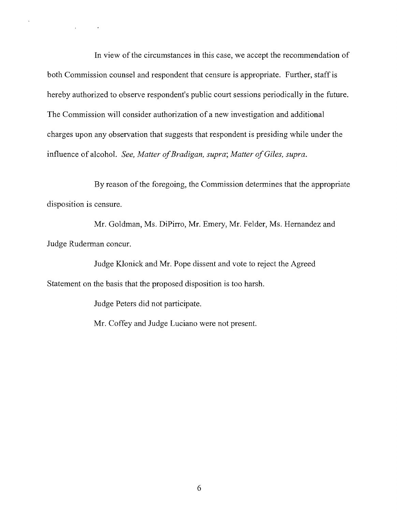In view of the circumstances in this case, we accept the recommendation of both Commission counsel and respondent that censure is appropriate. Further, staff is hereby authorized to observe respondent's public court sessions periodically in the future. The Commission will consider authorization of a new investigation and additional charges upon any observation that suggests that respondent is presiding while under the influence of alcohol. *See, Matter afBradigan, supra; Matter afGiles, supra.*

By reason of the foregoing, the Commission determines that the appropriate disposition is censure.

Mr. Goldman, Ms. DiPirro, Mr. Emery, Mr. Felder, Ms. Hernandez and Judge Ruderman concur.

Judge Klonick and Mr. Pope dissent and vote to reject the Agreed Statement on the basis that the proposed disposition is too harsh.

Judge Peters did not participate.

 $\ddot{\phantom{a}}$ 

 $\mathcal{L}^{\text{max}}$  and  $\mathcal{L}^{\text{max}}$ 

Mr. Coffey and Judge Luciano were not present.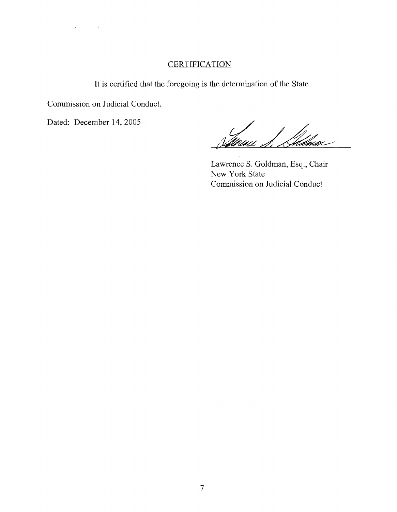## **CERTIFICATION**

It is certified that the foregoing is the determination of the State

Commission on Judicial Conduct.

 $\alpha$ 

 $\ddot{\phantom{a}}$ 

Dated: December 14, 2005

 $\ddot{\phantom{1}}$ 

Gdnac Vilipini

Lawrence S. Goldman, Esq., Chair New York State Commission on Judicial Conduct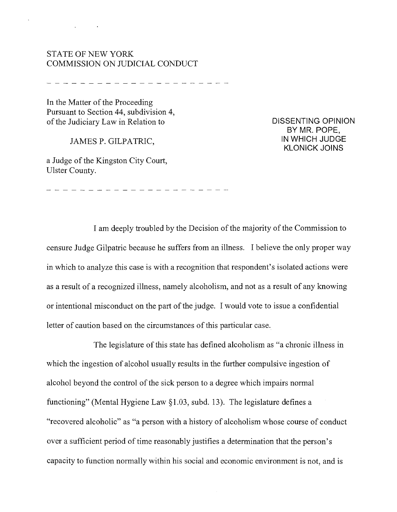## STATE OF NEW YORK COMMISSION ON JUDICIAL CONDUCT

In the Matter of the Proceeding Pursuant to Section 44, subdivision 4, of the Judiciary Law in Relation to

JAMES P. GILPATRIC,

a Judge of the Kingston City Court, Ulster County.

**DISSENTING OPINION BY MR. POPE, IN WHICH JUDGE KLONICK JOINS**

I am deeply troubled by the Decision of the majority of the Commission to censure Judge Gilpatric because he suffers from an illness. I believe the only proper way in which to analyze this case is with a recognition that respondent's isolated actions were as a result of a recognized illness, namely alcoholism, and not as a result of any knowing or intentional misconduct on the part of the judge. I would vote to issue a confidential letter of caution based on the circumstances of this particular case.

The legislature of this state has defined alcoholism as "a chronic illness in which the ingestion of alcohol usually results in the further compulsive ingestion of alcohol beyond the control of the sick person to a degree which impairs normal functioning" (Mental Hygiene Law §1.03, subd. 13). The legislature defines a "recovered alcoholic" as "a person with a history of alcoholism whose course of conduct over a sufficient period of time reasonably justifies a determination that the person's capacity to function normally within his social and economic environment is not, and is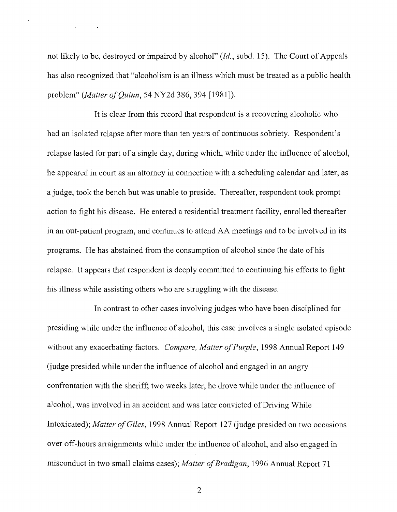not likely to be, destroyed or impaired by alcohol" *(Id.,* subd. 15). The Court of Appeals has also recognized that "alcoholism is an illness which must be treated as a public health problem" *(Matter of Quinn*, 54 NY2d 386, 394 [1981]).

It is clear from this record that respondent is a recovering alcoholic who had an isolated relapse after more than ten years of continuous sobriety. Respondent's relapse lasted for part of a single day, during which, while under the influence of alcohol, he appeared in court as an attorney in connection with a scheduling calendar and later, as a judge, took the bench but was unable to preside. Thereafter, respondent took prompt action to fight his disease. He entered a residential treatment facility, enrolled thereafter in an out-patient program, and continues to attend AA meetings and to be involved in its programs. He has abstained from the consumption of alcohol since the date of his relapse. It appears that respondent is deeply committed to continuing his efforts to fight his illness while assisting others who are struggling with the disease.

In contrast to other cases involving judges who have been disciplined for presiding while under the influence of alcohol, this case involves a single isolated episode without any exacerbating factors. *Compare, Matter of Purple*, 1998 Annual Report 149 (judge presided while under the influence of alcohol and engaged in an angry confrontation with the sheriff; two weeks later, he drove while under the influence of alcohol, was involved in an accident and was later convicted of Driving While Intoxicated); *Matter of Giles*, 1998 Annual Report 127 (judge presided on two occasions over off-hours arraignments while under the influence of alcohol, and also engaged in misconduct in two small claims cases); *Matter of Bradigan*, 1996 Annual Report 71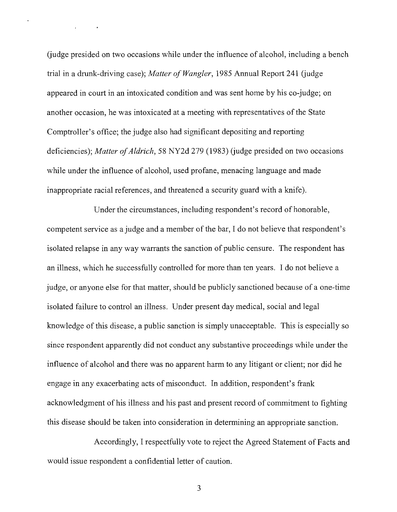(judge presided on two occasions while under the influence of alcohol, including a bench trial in a drunk-driving case); *Matter of Wangler*, 1985 Annual Report 241 (judge appeared in court in an intoxicated condition and was sent home by his co-judge; on another occasion, he was intoxicated at a meeting with representatives of the State Comptroller's office; the judge also had significant depositing and reporting deficiencies); *Matter of Aldrich*, 58 NY2d 279 (1983) (judge presided on two occasions while under the influence of alcohol, used profane, menacing language and made inappropriate racial references, and threatened a security guard with a knife).

Under the circumstances, including respondent's record of honorable, competent service as a judge and a member of the bar, I do not believe that respondent's isolated relapse in any way warrants the sanction of public censure. The respondent has an illness, which he successfully controlled for more than ten years. I do not believe a judge, or anyone else for that matter, should be publicly sanctioned because of a one-time isolated failure to control an illness. Under present day medical, social and legal knowledge of this disease, a public sanction is simply unacceptable. This is especially so since respondent apparently did not conduct any substantive proceedings while under the influence of alcohol and there was no apparent harm to any litigant or client; nor did he engage in any exacerbating acts of misconduct. In addition, respondent's frank acknowledgment of his illness and his past and present record of commitment to fighting this disease should be taken into consideration in determining an appropriate sanction.

Accordingly, I respectfully vote to reject the Agreed Statement of Facts and would issue respondent a confidential letter of caution.